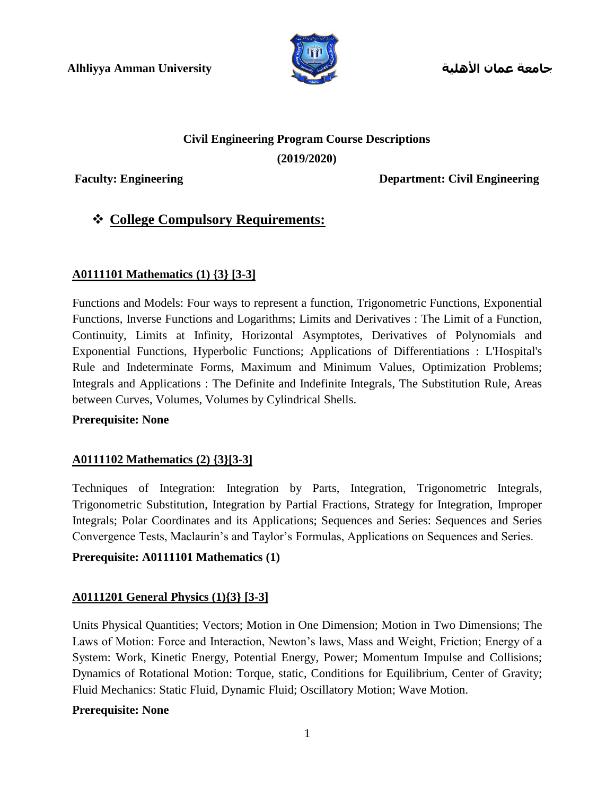

**جامعة عمان األهلية**

# **Civil Engineering Program Course Descriptions**

**(2019/2020)**

**Faculty: Engineering Department: Civil Engineering**

## **College Compulsory Requirements:**

#### **A0111101 Mathematics (1) {3} [3-3]**

Functions and Models: Four ways to represent a function, Trigonometric Functions, Exponential Functions, Inverse Functions and Logarithms; Limits and Derivatives : The Limit of a Function, Continuity, Limits at Infinity, Horizontal Asymptotes, Derivatives of Polynomials and Exponential Functions, Hyperbolic Functions; Applications of Differentiations : L'Hospital's Rule and Indeterminate Forms, Maximum and Minimum Values, Optimization Problems; Integrals and Applications : The Definite and Indefinite Integrals, The Substitution Rule, Areas between Curves, Volumes, Volumes by Cylindrical Shells.

#### **Prerequisite: None**

#### **A0111102 Mathematics (2) {3}[3-3]**

Techniques of Integration: Integration by Parts, Integration, Trigonometric Integrals, Trigonometric Substitution, Integration by Partial Fractions, Strategy for Integration, Improper Integrals; Polar Coordinates and its Applications; Sequences and Series: Sequences and Series Convergence Tests, Maclaurin's and Taylor's Formulas, Applications on Sequences and Series.

#### **Prerequisite: A0111101 Mathematics (1)**

#### **A0111201 General Physics (1){3} [3-3]**

Units Physical Quantities; Vectors; Motion in One Dimension; Motion in Two Dimensions; The Laws of Motion: Force and Interaction, Newton's laws, Mass and Weight, Friction; Energy of a System: Work, Kinetic Energy, Potential Energy, Power; Momentum Impulse and Collisions; Dynamics of Rotational Motion: Torque, static, Conditions for Equilibrium, Center of Gravity; Fluid Mechanics: Static Fluid, Dynamic Fluid; Oscillatory Motion; Wave Motion.

#### **Prerequisite: None**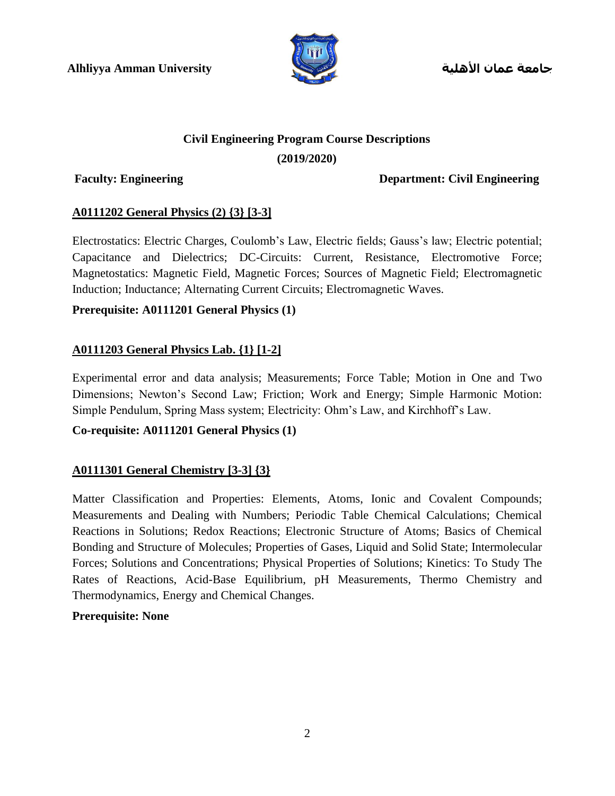

**جامعة عمان األهلية**

# **Civil Engineering Program Course Descriptions**

#### **(2019/2020)**

**Faculty: Engineering Department: Civil Engineering**

### **A0111202 General Physics (2) {3} [3-3]**

Electrostatics: Electric Charges, Coulomb's Law, Electric fields; Gauss's law; Electric potential; Capacitance and Dielectrics; DC-Circuits: Current, Resistance, Electromotive Force; Magnetostatics: Magnetic Field, Magnetic Forces; Sources of Magnetic Field; Electromagnetic Induction; Inductance; Alternating Current Circuits; Electromagnetic Waves.

### **Prerequisite: A0111201 General Physics (1)**

### **A0111203 General Physics Lab. {1} [1-2]**

Experimental error and data analysis; Measurements; Force Table; Motion in One and Two Dimensions; Newton's Second Law; Friction; Work and Energy; Simple Harmonic Motion: Simple Pendulum, Spring Mass system; Electricity: Ohm's Law, and Kirchhoff's Law.

#### **Co-requisite: A0111201 General Physics (1)**

### **A0111301 General Chemistry [3-3] {3}**

Matter Classification and Properties: Elements, Atoms, Ionic and Covalent Compounds; Measurements and Dealing with Numbers; Periodic Table Chemical Calculations; Chemical Reactions in Solutions; Redox Reactions; Electronic Structure of Atoms; Basics of Chemical Bonding and Structure of Molecules; Properties of Gases, Liquid and Solid State; Intermolecular Forces; Solutions and Concentrations; Physical Properties of Solutions; Kinetics: To Study The Rates of Reactions, Acid-Base Equilibrium, pH Measurements, Thermo Chemistry and Thermodynamics, Energy and Chemical Changes.

#### **Prerequisite: None**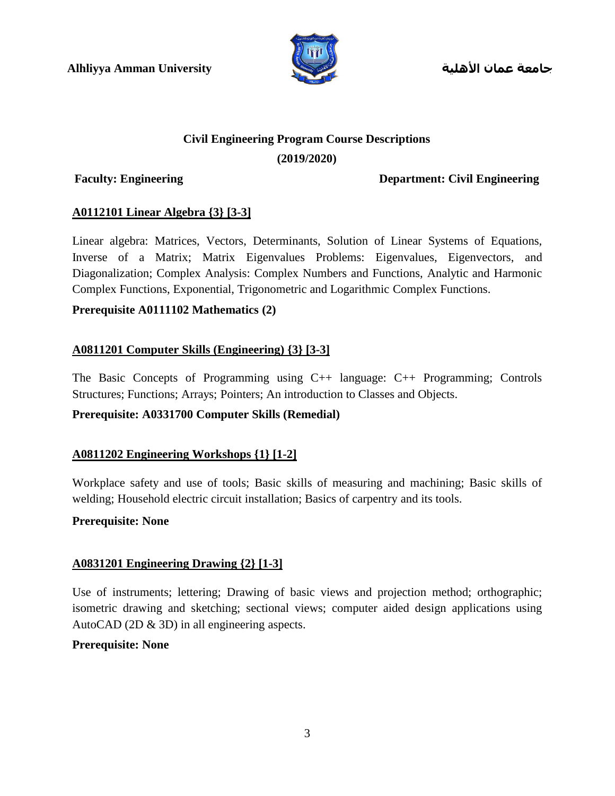

**جامعة عمان األهلية**

## **Civil Engineering Program Course Descriptions**

#### **(2019/2020)**

**Faculty: Engineering Department: Civil Engineering**

#### **A0112101 Linear Algebra {3} [3-3]**

Linear algebra: Matrices, Vectors, Determinants, Solution of Linear Systems of Equations, Inverse of a Matrix; Matrix Eigenvalues Problems: Eigenvalues, Eigenvectors, and Diagonalization; Complex Analysis: Complex Numbers and Functions, Analytic and Harmonic Complex Functions, Exponential, Trigonometric and Logarithmic Complex Functions.

### **Prerequisite A0111102 Mathematics (2)**

### **A0811201 Computer Skills (Engineering) {3} [3-3]**

The Basic Concepts of Programming using C++ language: C++ Programming; Controls Structures; Functions; Arrays; Pointers; An introduction to Classes and Objects.

#### **Prerequisite: A0331700 Computer Skills (Remedial)**

#### **A0811202 Engineering Workshops {1} [1-2]**

Workplace safety and use of tools; Basic skills of measuring and machining; Basic skills of welding; Household electric circuit installation; Basics of carpentry and its tools.

#### **Prerequisite: None**

#### **A0831201 Engineering Drawing {2} [1-3]**

Use of instruments; lettering; Drawing of basic views and projection method; orthographic; isometric drawing and sketching; sectional views; computer aided design applications using AutoCAD (2D & 3D) in all engineering aspects.

#### **Prerequisite: None**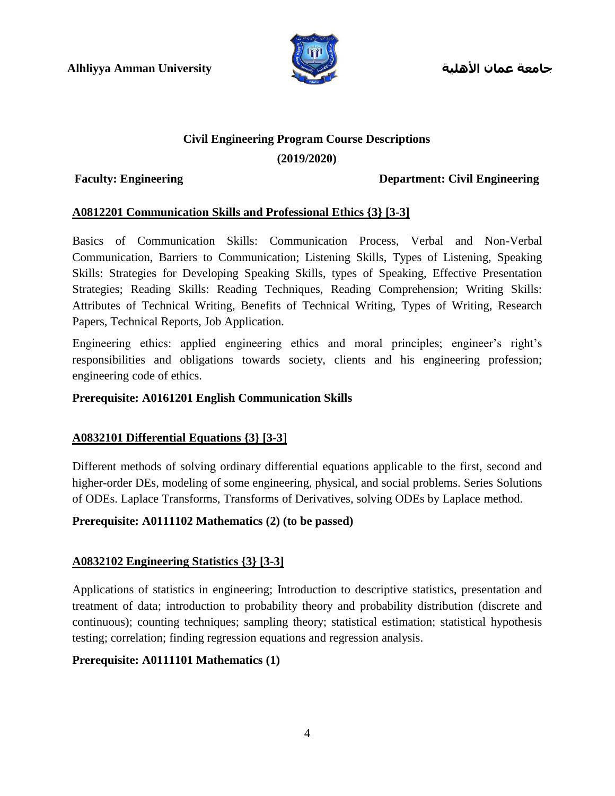

**جامعة عمان األهلية**

#### **Civil Engineering Program Course Descriptions**

#### **(2019/2020)**

#### **Faculty: Engineering Department: Civil Engineering**

#### **A0812201 Communication Skills and Professional Ethics {3} [3-3]**

Basics of Communication Skills: Communication Process, Verbal and Non-Verbal Communication, Barriers to Communication; Listening Skills, Types of Listening, Speaking Skills: Strategies for Developing Speaking Skills, types of Speaking, Effective Presentation Strategies; Reading Skills: Reading Techniques, Reading Comprehension; Writing Skills: Attributes of Technical Writing, Benefits of Technical Writing, Types of Writing, Research Papers, Technical Reports, Job Application.

Engineering ethics: applied engineering ethics and moral principles; engineer's right's responsibilities and obligations towards society, clients and his engineering profession; engineering code of ethics.

#### **Prerequisite: A0161201 English Communication Skills**

#### **A0832101 Differential Equations {3} [3-3**]

Different methods of solving ordinary differential equations applicable to the first, second and higher-order DEs, modeling of some engineering, physical, and social problems. Series Solutions of ODEs. Laplace Transforms, Transforms of Derivatives, solving ODEs by Laplace method.

#### **Prerequisite: A0111102 Mathematics (2) (to be passed)**

#### **A0832102 Engineering Statistics {3} [3-3]**

Applications of statistics in engineering; Introduction to descriptive statistics, presentation and treatment of data; introduction to probability theory and probability distribution (discrete and continuous); counting techniques; sampling theory; statistical estimation; statistical hypothesis testing; correlation; finding regression equations and regression analysis.

#### **Prerequisite: A0111101 Mathematics (1)**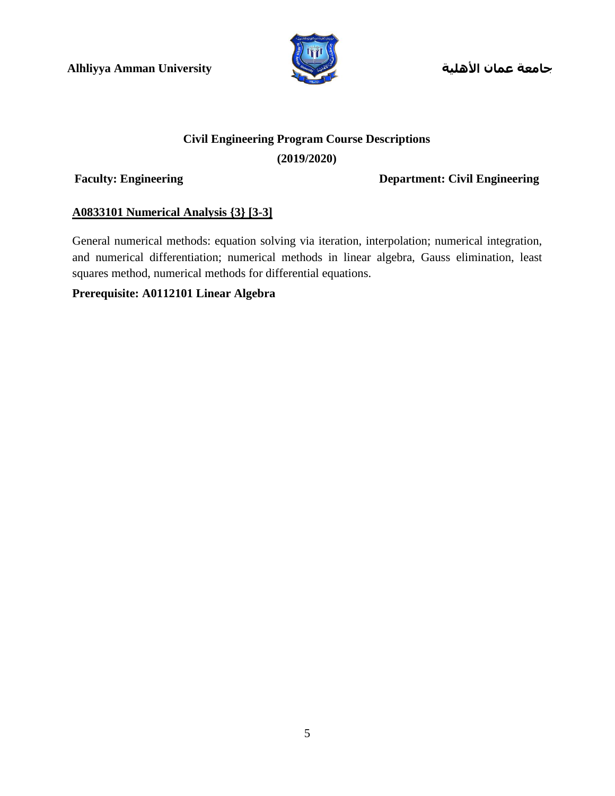

**جامعة عمان األهلية**

# **Civil Engineering Program Course Descriptions (2019/2020)**

**Faculty: Engineering Department: Civil Engineering**

#### **A0833101 Numerical Analysis {3} [3-3]**

General numerical methods: equation solving via iteration, interpolation; numerical integration, and numerical differentiation; numerical methods in linear algebra, Gauss elimination, least squares method, numerical methods for differential equations.

#### **Prerequisite: A0112101 Linear Algebra**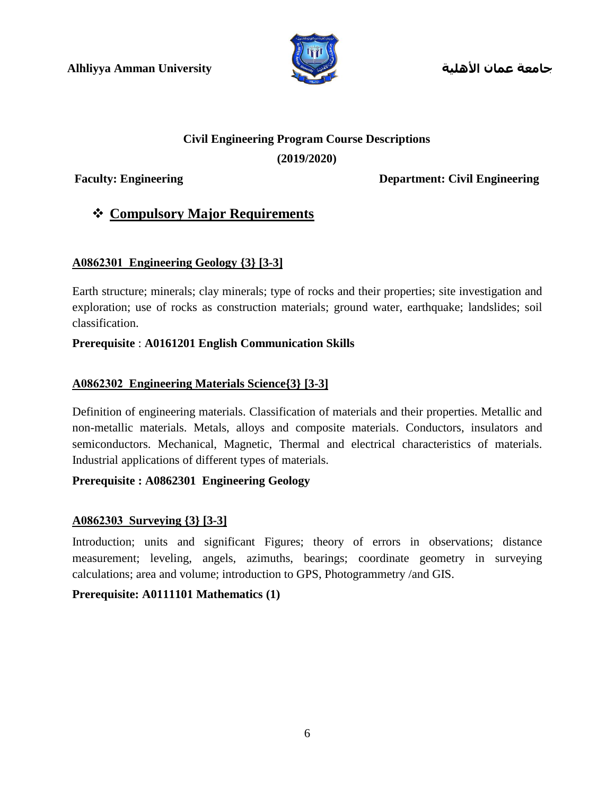

**جامعة عمان األهلية**

# **Civil Engineering Program Course Descriptions**

#### **(2019/2020)**

**Faculty: Engineering Department: Civil Engineering**

# **Compulsory Major Requirements**

### **A0862301 Engineering Geology {3} [3-3]**

Earth structure; minerals; clay minerals; type of rocks and their properties; site investigation and exploration; use of rocks as construction materials; ground water, earthquake; landslides; soil classification.

#### **Prerequisite** : **A0161201 English Communication Skills**

### **A0862302 Engineering Materials Science{3} [3-3]**

Definition of engineering materials. Classification of materials and their properties. Metallic and non-metallic materials. Metals, alloys and composite materials. Conductors, insulators and semiconductors. Mechanical, Magnetic, Thermal and electrical characteristics of materials. Industrial applications of different types of materials.

### **Prerequisite : A0862301 Engineering Geology**

### **A0862303 Surveying {3} [3-3]**

Introduction; units and significant Figures; theory of errors in observations; distance measurement; leveling, angels, azimuths, bearings; coordinate geometry in surveying calculations; area and volume; introduction to GPS, Photogrammetry /and GIS.

#### **Prerequisite: A0111101 Mathematics (1)**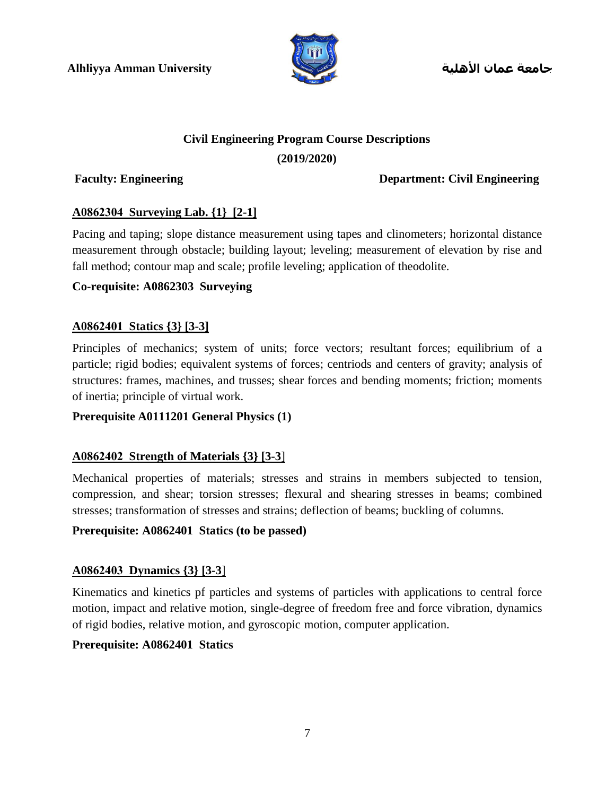

**جامعة عمان األهلية**

# **Civil Engineering Program Course Descriptions**

#### **(2019/2020)**

**Faculty: Engineering Department: Civil Engineering**

### **A0862304 Surveying Lab. {1} [2-1]**

Pacing and taping; slope distance measurement using tapes and clinometers; horizontal distance measurement through obstacle; building layout; leveling; measurement of elevation by rise and fall method; contour map and scale; profile leveling; application of theodolite.

#### **Co-requisite: A0862303 Surveying**

### **A0862401 Statics {3} [3-3]**

Principles of mechanics; system of units; force vectors; resultant forces; equilibrium of a particle; rigid bodies; equivalent systems of forces; centriods and centers of gravity; analysis of structures: frames, machines, and trusses; shear forces and bending moments; friction; moments of inertia; principle of virtual work.

#### **Prerequisite A0111201 General Physics (1)**

#### **A0862402 Strength of Materials {3} [3-3**]

Mechanical properties of materials; stresses and strains in members subjected to tension, compression, and shear; torsion stresses; flexural and shearing stresses in beams; combined stresses; transformation of stresses and strains; deflection of beams; buckling of columns.

#### **Prerequisite: A0862401 Statics (to be passed)**

#### **A0862403 Dynamics {3} [3-3**]

Kinematics and kinetics pf particles and systems of particles with applications to central force motion, impact and relative motion, single-degree of freedom free and force vibration, dynamics of rigid bodies, relative motion, and gyroscopic motion, computer application.

#### **Prerequisite: A0862401 Statics**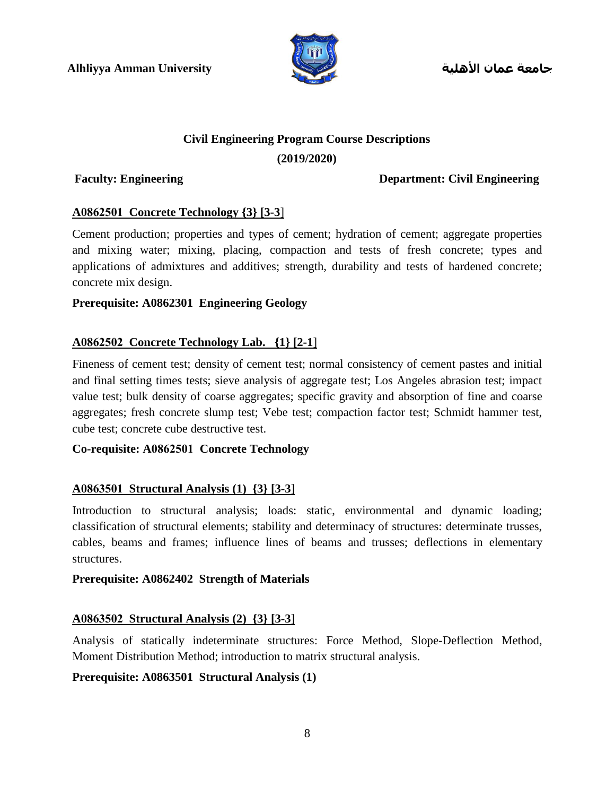

**جامعة عمان األهلية**

#### **Civil Engineering Program Course Descriptions**

#### **(2019/2020)**

#### **Faculty: Engineering Department: Civil Engineering**

#### **A0862501 Concrete Technology {3} [3-3**]

Cement production; properties and types of cement; hydration of cement; aggregate properties and mixing water; mixing, placing, compaction and tests of fresh concrete; types and applications of admixtures and additives; strength, durability and tests of hardened concrete; concrete mix design.

#### **Prerequisite: A0862301 Engineering Geology**

#### **A0862502 Concrete Technology Lab. {1} [2-1**]

Fineness of cement test; density of cement test; normal consistency of cement pastes and initial and final setting times tests; sieve analysis of aggregate test; Los Angeles abrasion test; impact value test; bulk density of coarse aggregates; specific gravity and absorption of fine and coarse aggregates; fresh concrete slump test; Vebe test; compaction factor test; Schmidt hammer test, cube test; concrete cube destructive test.

#### **Co-requisite: A0862501 Concrete Technology**

#### **A0863501 Structural Analysis (1) {3} [3-3**]

Introduction to structural analysis; loads: static, environmental and dynamic loading; classification of structural elements; stability and determinacy of structures: determinate trusses, cables, beams and frames; influence lines of beams and trusses; deflections in elementary structures.

#### **Prerequisite: A0862402 Strength of Materials**

#### **A0863502 Structural Analysis (2) {3} [3-3**]

Analysis of statically indeterminate structures: Force Method, Slope-Deflection Method, Moment Distribution Method; introduction to matrix structural analysis.

#### **Prerequisite: A0863501 Structural Analysis (1)**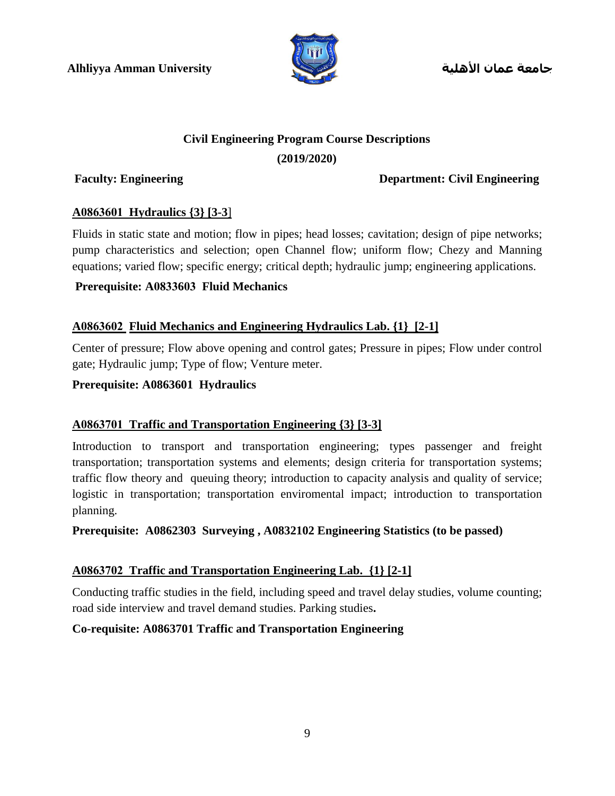

**جامعة عمان األهلية**

## **Civil Engineering Program Course Descriptions (2019/2020)**

**Faculty: Engineering Department: Civil Engineering**

#### **A0863601 Hydraulics {3} [3-3**]

Fluids in static state and motion; flow in pipes; head losses; cavitation; design of pipe networks; pump characteristics and selection; open Channel flow; uniform flow; Chezy and Manning equations; varied flow; specific energy; critical depth; hydraulic jump; engineering applications.

### **Prerequisite: A0833603 Fluid Mechanics**

### **A0863602 Fluid Mechanics and Engineering Hydraulics Lab. {1} [2-1]**

Center of pressure; Flow above opening and control gates; Pressure in pipes; Flow under control gate; Hydraulic jump; Type of flow; Venture meter.

#### **Prerequisite: A0863601 Hydraulics**

#### **A0863701 Traffic and Transportation Engineering {3} [3-3]**

Introduction to transport and transportation engineering; types passenger and freight transportation; transportation systems and elements; design criteria for transportation systems; traffic flow theory and queuing theory; introduction to capacity analysis and quality of service; logistic in transportation; transportation enviromental impact; introduction to transportation planning.

**Prerequisite: A0862303 Surveying , A0832102 Engineering Statistics (to be passed)**

#### **A0863702 Traffic and Transportation Engineering Lab. {1} [2-1]**

Conducting traffic studies in the field, including speed and travel delay studies, volume counting; road side interview and travel demand studies. Parking studies**.**

#### **Co-requisite: A0863701 Traffic and Transportation Engineering**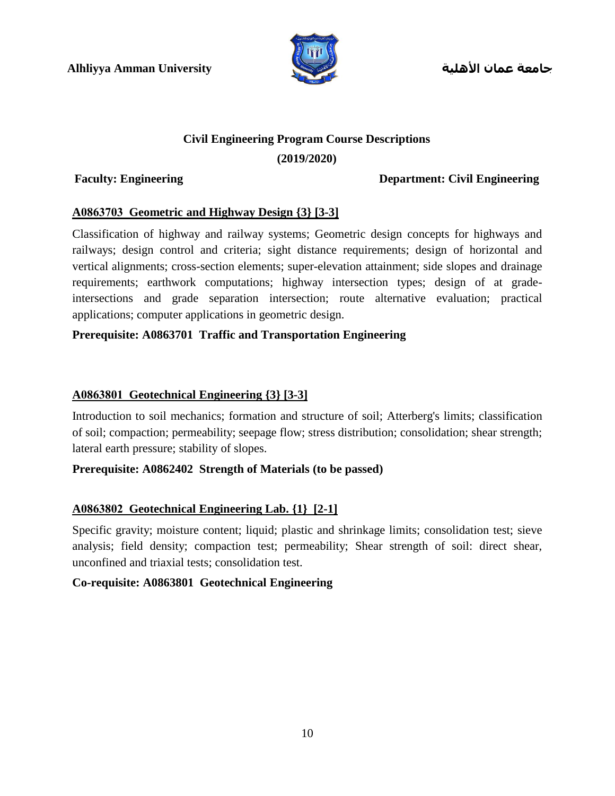

**جامعة عمان األهلية**

#### **Civil Engineering Program Course Descriptions**

#### **(2019/2020)**

#### **Faculty: Engineering Department: Civil Engineering**

#### **A0863703 Geometric and Highway Design {3} [3-3]**

Classification of highway and railway systems; Geometric design concepts for highways and railways; design control and criteria; sight distance requirements; design of horizontal and vertical alignments; cross-section elements; super-elevation attainment; side slopes and drainage requirements; earthwork computations; highway intersection types; design of at gradeintersections and grade separation intersection; route alternative evaluation; practical applications; computer applications in geometric design.

#### **Prerequisite: A0863701 Traffic and Transportation Engineering**

#### **A0863801 Geotechnical Engineering {3} [3-3]**

Introduction to soil mechanics; formation and structure of soil; Atterberg's limits; classification of soil; compaction; permeability; seepage flow; stress distribution; consolidation; shear strength; lateral earth pressure; stability of slopes.

#### **Prerequisite: A0862402 Strength of Materials (to be passed)**

#### **A0863802 Geotechnical Engineering Lab. {1} [2-1]**

Specific gravity; moisture content; liquid; plastic and shrinkage limits; consolidation test; sieve analysis; field density; compaction test; permeability; Shear strength of soil: direct shear, unconfined and triaxial tests; consolidation test.

#### **Co-requisite: A0863801 Geotechnical Engineering**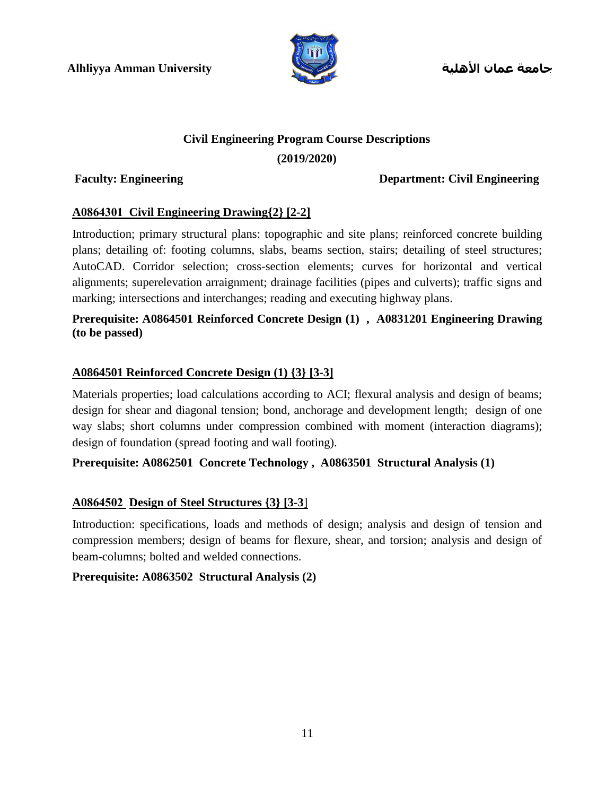

**جامعة عمان األهلية**

## **Civil Engineering Program Course Descriptions**

#### **(2019/2020)**

#### **Faculty: Engineering Department: Civil Engineering**

#### **A0864301 Civil Engineering Drawing{2} [2-2]**

Introduction; primary structural plans: topographic and site plans; reinforced concrete building plans; detailing of: footing columns, slabs, beams section, stairs; detailing of steel structures; AutoCAD. Corridor selection; cross-section elements; curves for horizontal and vertical alignments; superelevation arraignment; drainage facilities (pipes and culverts); traffic signs and marking; intersections and interchanges; reading and executing highway plans.

#### **Prerequisite: A0864501 Reinforced Concrete Design (1) , A0831201 Engineering Drawing (to be passed)**

#### **A0864501 Reinforced Concrete Design (1) {3} [3-3]**

Materials properties; load calculations according to ACI; flexural analysis and design of beams; design for shear and diagonal tension; bond, anchorage and development length; design of one way slabs; short columns under compression combined with moment (interaction diagrams); design of foundation (spread footing and wall footing).

#### **Prerequisite: A0862501 Concrete Technology , A0863501 Structural Analysis (1)**

#### **A0864502 Design of Steel Structures {3} [3-3**]

Introduction: specifications, loads and methods of design; analysis and design of tension and compression members; design of beams for flexure, shear, and torsion; analysis and design of beam-columns; bolted and welded connections.

#### **Prerequisite: A0863502 Structural Analysis (2)**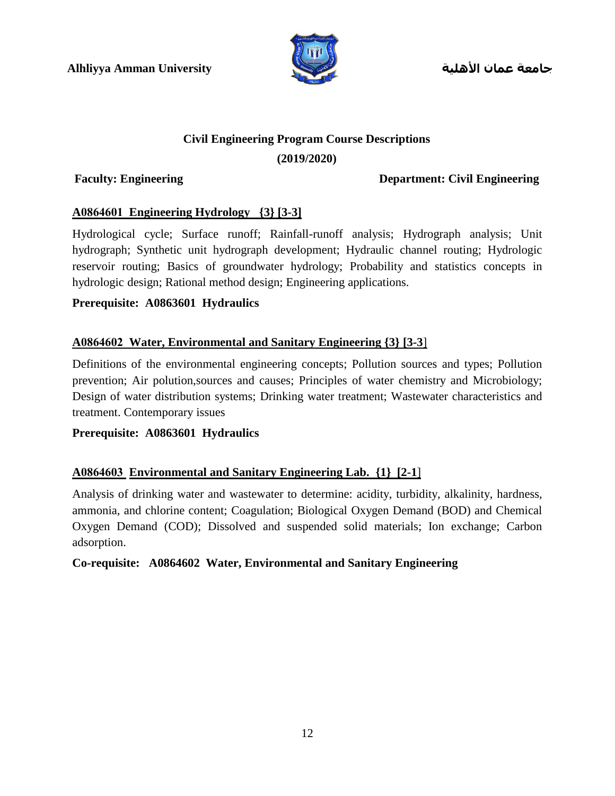

**جامعة عمان األهلية**

#### **Civil Engineering Program Course Descriptions**

#### **(2019/2020)**

#### **Faculty: Engineering Department: Civil Engineering**

#### **A0864601 Engineering Hydrology {3} [3-3]**

Hydrological cycle; Surface runoff; Rainfall-runoff analysis; Hydrograph analysis; Unit hydrograph; Synthetic unit hydrograph development; Hydraulic channel routing; Hydrologic reservoir routing; Basics of groundwater hydrology; Probability and statistics concepts in hydrologic design; Rational method design; Engineering applications.

#### **Prerequisite: A0863601 Hydraulics**

#### **A0864602 Water, Environmental and Sanitary Engineering {3} [3-3**]

Definitions of the environmental engineering concepts; Pollution sources and types; Pollution prevention; Air polution,sources and causes; Principles of water chemistry and Microbiology; Design of water distribution systems; Drinking water treatment; Wastewater characteristics and treatment. Contemporary issues

#### **Prerequisite: A0863601 Hydraulics**

#### **A0864603 Environmental and Sanitary Engineering Lab. {1} [2-1**]

Analysis of drinking water and wastewater to determine: acidity, turbidity, alkalinity, hardness, ammonia, and chlorine content; Coagulation; Biological Oxygen Demand (BOD) and Chemical Oxygen Demand (COD); Dissolved and suspended solid materials; Ion exchange; Carbon adsorption.

#### **Co-requisite: A0864602 Water, Environmental and Sanitary Engineering**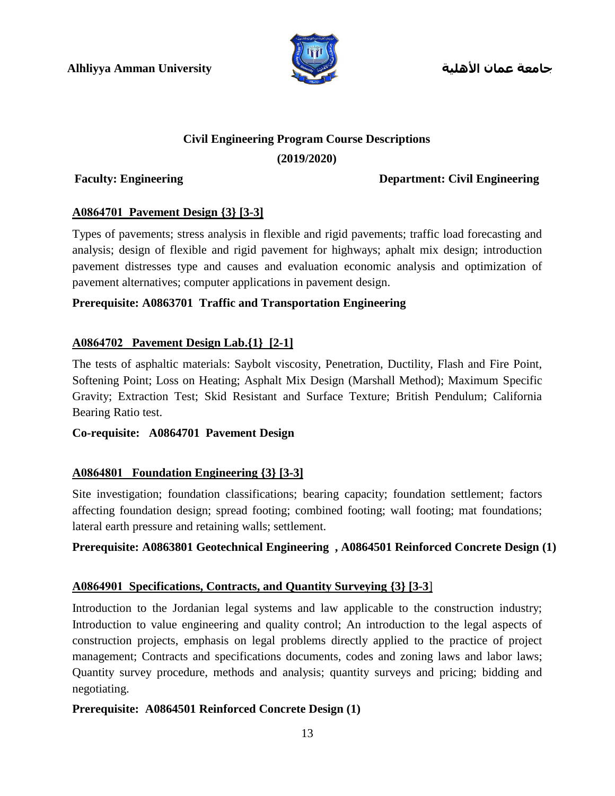

**جامعة عمان األهلية**

### **Civil Engineering Program Course Descriptions**

#### **(2019/2020)**

#### **Faculty: Engineering Department: Civil Engineering**

#### **A0864701 Pavement Design {3} [3-3]**

Types of pavements; stress analysis in flexible and rigid pavements; traffic load forecasting and analysis; design of flexible and rigid pavement for highways; aphalt mix design; introduction pavement distresses type and causes and evaluation economic analysis and optimization of pavement alternatives; computer applications in pavement design.

#### **Prerequisite: A0863701 Traffic and Transportation Engineering**

#### **A0864702 Pavement Design Lab.{1} [2-1]**

The tests of asphaltic materials: Saybolt viscosity, Penetration, Ductility, Flash and Fire Point, Softening Point; Loss on Heating; Asphalt Mix Design (Marshall Method); Maximum Specific Gravity; Extraction Test; Skid Resistant and Surface Texture; British Pendulum; California Bearing Ratio test.

#### **Co-requisite: A0864701 Pavement Design**

#### **A0864801 Foundation Engineering {3} [3-3]**

Site investigation; foundation classifications; bearing capacity; foundation settlement; factors affecting foundation design; spread footing; combined footing; wall footing; mat foundations; lateral earth pressure and retaining walls; settlement.

#### **Prerequisite: A0863801 Geotechnical Engineering , A0864501 Reinforced Concrete Design (1)**

#### **A0864901 Specifications, Contracts, and Quantity Surveying {3} [3-3**]

Introduction to the Jordanian legal systems and law applicable to the construction industry; Introduction to value engineering and quality control; An introduction to the legal aspects of construction projects, emphasis on legal problems directly applied to the practice of project management; Contracts and specifications documents, codes and zoning laws and labor laws; Quantity survey procedure, methods and analysis; quantity surveys and pricing; bidding and negotiating.

#### **Prerequisite: A0864501 Reinforced Concrete Design (1)**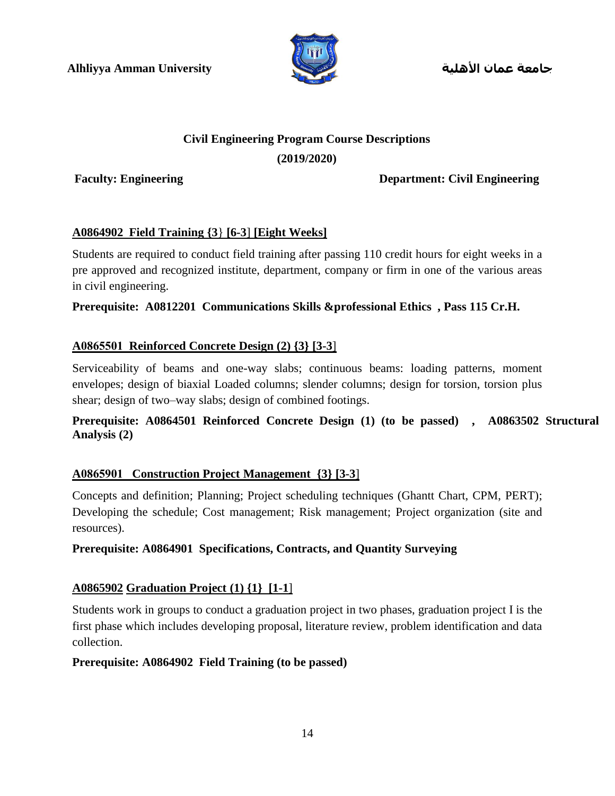

**جامعة عمان األهلية**

# **Civil Engineering Program Course Descriptions**

#### **(2019/2020)**

**Faculty: Engineering Department: Civil Engineering**

#### **A0864902 Field Training {3**} **[6-3**] **[Eight Weeks]**

Students are required to conduct field training after passing 110 credit hours for eight weeks in a pre approved and recognized institute, department, company or firm in one of the various areas in civil engineering.

#### **Prerequisite: A0812201 Communications Skills &professional Ethics , Pass 115 Cr.H.**

#### **A0865501 Reinforced Concrete Design (2) {3} [3-3**]

Serviceability of beams and one-way slabs; continuous beams: loading patterns, moment envelopes; design of biaxial Loaded columns; slender columns; design for torsion, torsion plus shear; design of two–way slabs; design of combined footings.

#### **Prerequisite: A0864501 Reinforced Concrete Design (1) (to be passed) , A0863502 Structural Analysis (2)**

#### **A0865901 Construction Project Management {3} [3-3**]

Concepts and definition; Planning; Project scheduling techniques (Ghantt Chart, CPM, PERT); Developing the schedule; Cost management; Risk management; Project organization (site and resources).

#### **Prerequisite: A0864901 Specifications, Contracts, and Quantity Surveying**

#### **A0865902 Graduation Project (1) {1} [1-1**]

Students work in groups to conduct a graduation project in two phases, graduation project I is the first phase which includes developing proposal, literature review, problem identification and data collection.

#### **Prerequisite: A0864902 Field Training (to be passed)**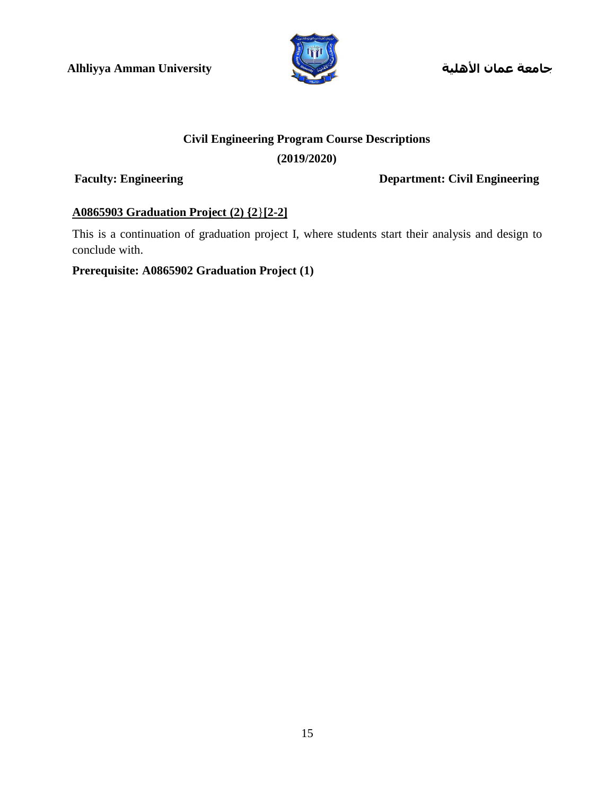

**جامعة عمان األهلية**

### **Civil Engineering Program Course Descriptions**

#### **(2019/2020)**

**Faculty: Engineering Department: Civil Engineering**

#### **A0865903 Graduation Project (2) {2**}**[2-2]**

This is a continuation of graduation project I, where students start their analysis and design to conclude with.

#### **Prerequisite: A0865902 Graduation Project (1)**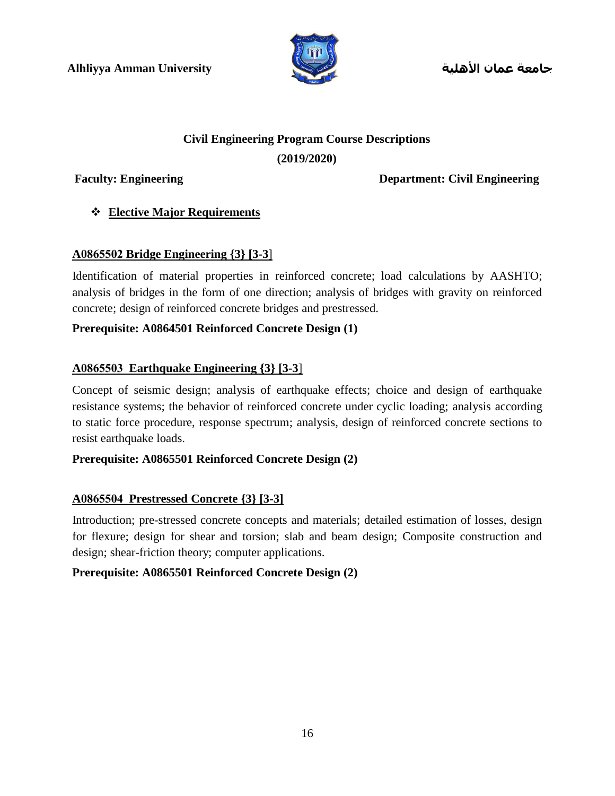

**جامعة عمان األهلية**

# **Civil Engineering Program Course Descriptions**

#### **(2019/2020)**

**Faculty: Engineering Department: Civil Engineering**

### **Elective Major Requirements**

### **A0865502 Bridge Engineering {3} [3-3**]

Identification of material properties in reinforced concrete; load calculations by AASHTO; analysis of bridges in the form of one direction; analysis of bridges with gravity on reinforced concrete; design of reinforced concrete bridges and prestressed.

#### **Prerequisite: A0864501 Reinforced Concrete Design (1)**

#### **A0865503 Earthquake Engineering {3} [3-3**]

Concept of seismic design; analysis of earthquake effects; choice and design of earthquake resistance systems; the behavior of reinforced concrete under cyclic loading; analysis according to static force procedure, response spectrum; analysis, design of reinforced concrete sections to resist earthquake loads.

#### **Prerequisite: A0865501 Reinforced Concrete Design (2)**

#### **A0865504 Prestressed Concrete {3} [3-3]**

Introduction; pre-stressed concrete concepts and materials; detailed estimation of losses, design for flexure; design for shear and torsion; slab and beam design; Composite construction and design; shear-friction theory; computer applications.

#### **Prerequisite: A0865501 Reinforced Concrete Design (2)**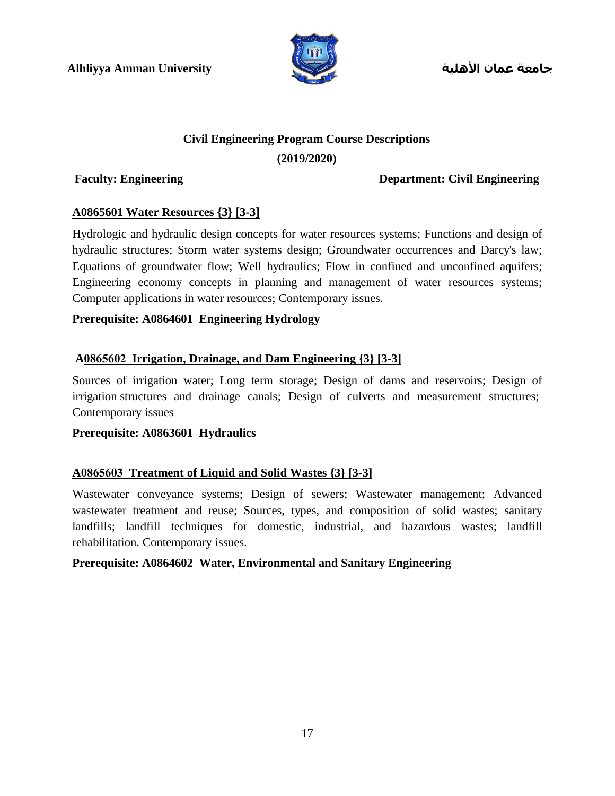

**جامعة عمان األهلية**

# **Civil Engineering Program Course Descriptions**

#### **(2019/2020)**

#### **Faculty: Engineering Department: Civil Engineering**

#### **A0865601 Water Resources {3} [3-3]**

Hydrologic and hydraulic design concepts for water resources systems; Functions and design of hydraulic structures; Storm water systems design; Groundwater occurrences and Darcy's law; Equations of groundwater flow; Well hydraulics; Flow in confined and unconfined aquifers; Engineering economy concepts in planning and management of water resources systems; Computer applications in water resources; Contemporary issues.

#### **Prerequisite: A0864601 Engineering Hydrology**

#### **A0865602 Irrigation, Drainage, and Dam Engineering {3} [3-3]**

Sources of irrigation water; Long term storage; Design of dams and reservoirs; Design of irrigation structures and drainage canals; Design of culverts and measurement structures; Contemporary issues

#### **Prerequisite: A0863601 Hydraulics**

#### **A0865603 Treatment of Liquid and Solid Wastes {3} [3-3]**

Wastewater conveyance systems; Design of sewers; Wastewater management; Advanced wastewater treatment and reuse; Sources, types, and composition of solid wastes; sanitary landfills; landfill techniques for domestic, industrial, and hazardous wastes; landfill rehabilitation. Contemporary issues.

#### **Prerequisite: A0864602 Water, Environmental and Sanitary Engineering**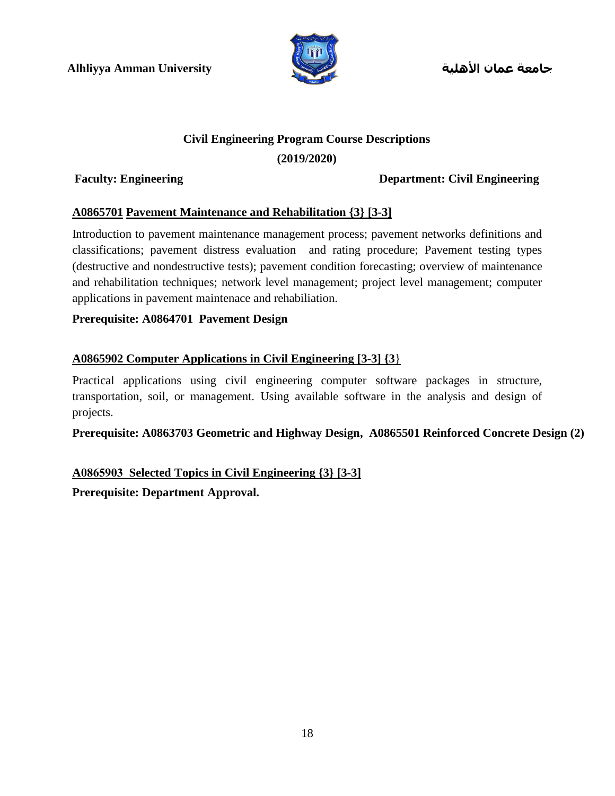

**جامعة عمان األهلية**

#### **Civil Engineering Program Course Descriptions**

#### **(2019/2020)**

#### **Faculty: Engineering Department: Civil Engineering**

#### **A0865701 Pavement Maintenance and Rehabilitation {3} [3-3]**

Introduction to pavement maintenance management process; pavement networks definitions and classifications; pavement distress evaluation and rating procedure; Pavement testing types (destructive and nondestructive tests); pavement condition forecasting; overview of maintenance and rehabilitation techniques; network level management; project level management; computer applications in pavement maintenace and rehabiliation.

#### **Prerequisite: A0864701 Pavement Design**

#### **A0865902 Computer Applications in Civil Engineering [3-3] {3**}

Practical applications using civil engineering computer software packages in structure, transportation, soil, or management. Using available software in the analysis and design of projects.

#### **Prerequisite: A0863703 Geometric and Highway Design, A0865501 Reinforced Concrete Design (2)**

### **A0865903 Selected Topics in Civil Engineering {3} [3-3]**

**Prerequisite: Department Approval.**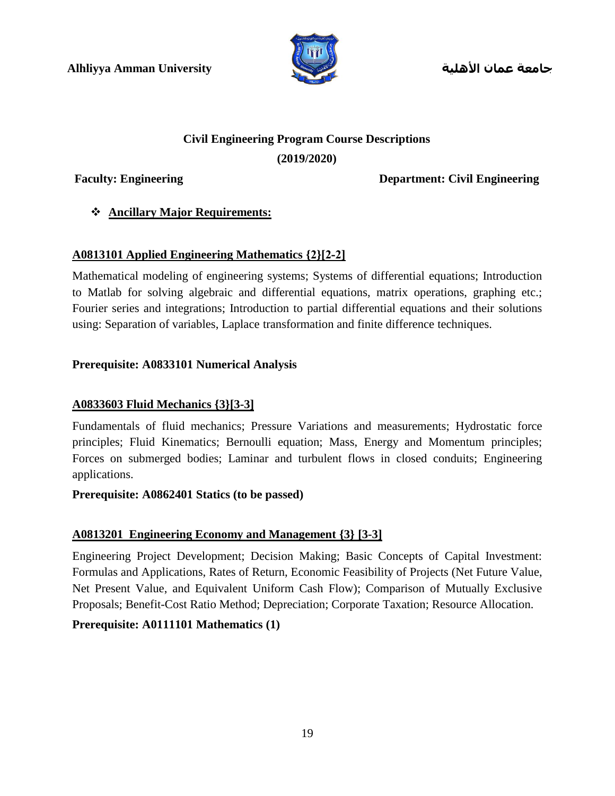

**جامعة عمان األهلية**

# **Civil Engineering Program Course Descriptions**

#### **(2019/2020)**

**Faculty: Engineering Department: Civil Engineering**

### **Ancillary Major Requirements:**

### **A0813101 Applied Engineering Mathematics {2}[2-2]**

Mathematical modeling of engineering systems; Systems of differential equations; Introduction to Matlab for solving algebraic and differential equations, matrix operations, graphing etc.; Fourier series and integrations; Introduction to partial differential equations and their solutions using: Separation of variables, Laplace transformation and finite difference techniques.

#### **Prerequisite: A0833101 Numerical Analysis**

#### **A0833603 Fluid Mechanics {3}[3-3]**

Fundamentals of fluid mechanics; Pressure Variations and measurements; Hydrostatic force principles; Fluid Kinematics; Bernoulli equation; Mass, Energy and Momentum principles; Forces on submerged bodies; Laminar and turbulent flows in closed conduits; Engineering applications.

#### **Prerequisite: A0862401 Statics (to be passed)**

### **A0813201 Engineering Economy and Management {3} [3-3]**

Engineering Project Development; Decision Making; Basic Concepts of Capital Investment: Formulas and Applications, Rates of Return, Economic Feasibility of Projects (Net Future Value, Net Present Value, and Equivalent Uniform Cash Flow); Comparison of Mutually Exclusive Proposals; Benefit-Cost Ratio Method; Depreciation; Corporate Taxation; Resource Allocation.

### **Prerequisite: A0111101 Mathematics (1)**